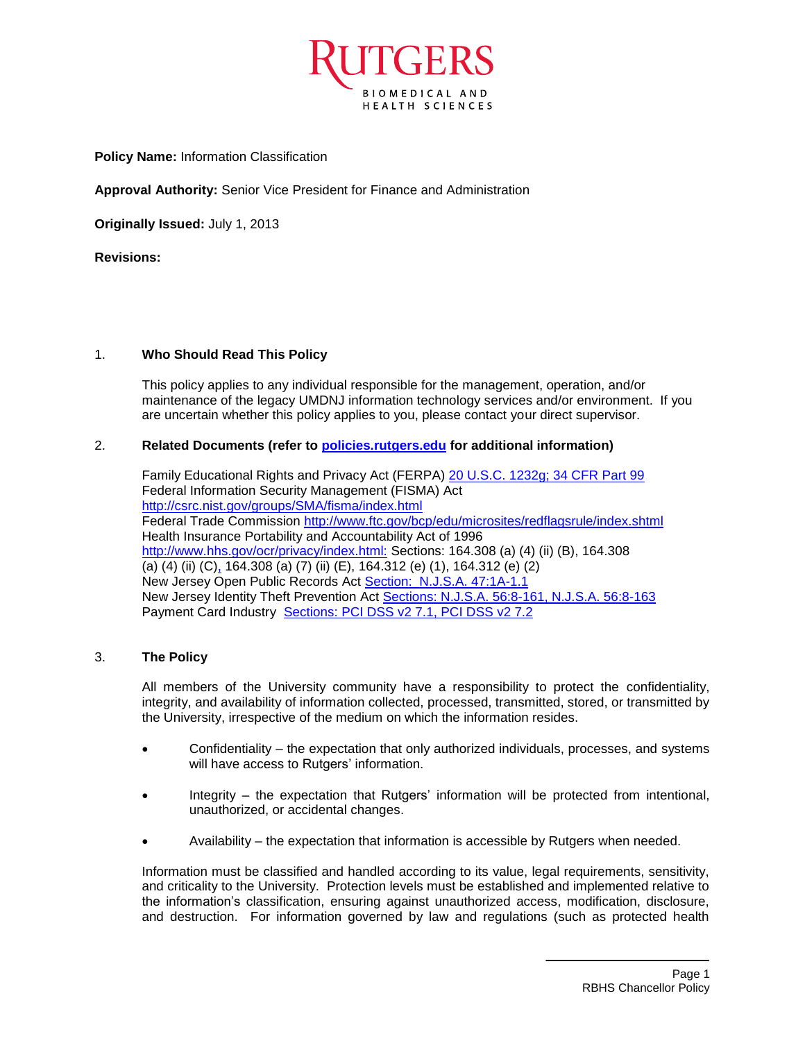

**Policy Name:** Information Classification

**Approval Authority:** Senior Vice President for Finance and Administration

**Originally Issued:** July 1, 2013

**Revisions:** 

### 1. **Who Should Read This Policy**

This policy applies to any individual responsible for the management, operation, and/or maintenance of the legacy UMDNJ information technology services and/or environment. If you are uncertain whether this policy applies to you, please contact your direct supervisor.

### 2. **Related Documents (refer to [policies.rutgers.edu](file:///C:/Users/rsedlackpr001/Documents/Rutgers/Policies/RBHS%20Policies/policies.rutgers.edu) for additional information)**

Family Educational Rights and Privacy Act (FERPA) [20 U.S.C. 1232g; 34 CFR Part 99](http://www2.ed.gov/policy/gen/guid/fpco/ferpa/index.html) Federal Information Security Management (FISMA) Act <http://csrc.nist.gov/groups/SMA/fisma/index.html> Federal Trade Commission<http://www.ftc.gov/bcp/edu/microsites/redflagsrule/index.shtml> Health Insurance Portability and Accountability Act of 1996 [http://www.hhs.gov/ocr/privacy/index.html:](http://www.hhs.gov/ocr/privacy/index.html) Sections: 164.308 (a) (4) (ii) (B), 164.308 (a) (4) (ii) (C[\),](http://www.hhs.gov/ocr/privacy/index.html) 164.308 (a) (7) (ii) (E), 164.312 (e) (1), 164.312 (e) (2) New Jersey Open Public Records Act [Section: N.J.S.A. 47:1A-1.1](http://www.state.nj.us/grc/act.html) New Jersey Identity Theft Prevention Act [Sections: N.J.S.A. 56:8-161, N.J.S.A. 56:8-163](http://www.njleg.state.nj.us/2004/Bills/A1500/1080_I1.HTM) Payment Card Industry [Sections: PCI DSS v2 7.1, PCI DSS v2 7.2](https://www.pcisecuritystandards.org/)

## 3. **The Policy**

All members of the University community have a responsibility to protect the confidentiality, integrity, and availability of information collected, processed, transmitted, stored, or transmitted by the University, irrespective of the medium on which the information resides.

- Confidentiality the expectation that only authorized individuals, processes, and systems will have access to Rutgers' information.
- Integrity the expectation that Rutgers' information will be protected from intentional, unauthorized, or accidental changes.
- Availability the expectation that information is accessible by Rutgers when needed.

Information must be classified and handled according to its value, legal requirements, sensitivity, and criticality to the University. Protection levels must be established and implemented relative to the information's classification, ensuring against unauthorized access, modification, disclosure, and destruction. For information governed by law and regulations (such as protected health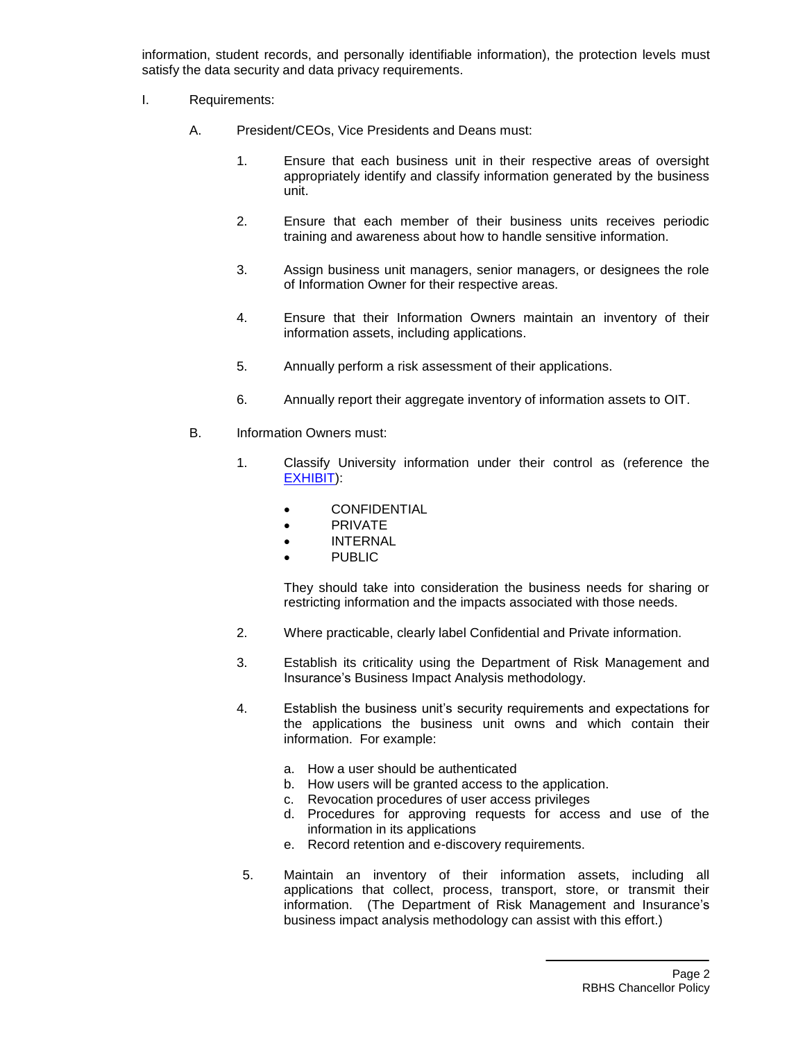information, student records, and personally identifiable information), the protection levels must satisfy the data security and data privacy requirements.

- I. Requirements:
	- A. President/CEOs, Vice Presidents and Deans must:
		- 1. Ensure that each business unit in their respective areas of oversight appropriately identify and classify information generated by the business unit.
		- 2. Ensure that each member of their business units receives periodic training and awareness about how to handle sensitive information.
		- 3. Assign business unit managers, senior managers, or designees the role of Information Owner for their respective areas.
		- 4. Ensure that their Information Owners maintain an inventory of their information assets, including applications.
		- 5. Annually perform a risk assessment of their applications.
		- 6. Annually report their aggregate inventory of information assets to OIT.
	- B. Information Owners must:
		- 1. Classify University information under their control as (reference the [EXHIBIT\)](#page-5-0):
			- **•** CONFIDENTIAL
			- PRIVATE
			- INTERNAL
			- PUBLIC

They should take into consideration the business needs for sharing or restricting information and the impacts associated with those needs.

- 2. Where practicable, clearly label Confidential and Private information.
- 3. Establish its criticality using the Department of Risk Management and Insurance's Business Impact Analysis methodology.
- 4. Establish the business unit's security requirements and expectations for the applications the business unit owns and which contain their information. For example:
	- a. How a user should be authenticated
	- b. How users will be granted access to the application.
	- c. Revocation procedures of user access privileges
	- d. Procedures for approving requests for access and use of the information in its applications
	- e. Record retention and e-discovery requirements.
- 5. Maintain an inventory of their information assets, including all applications that collect, process, transport, store, or transmit their information. (The Department of Risk Management and Insurance's business impact analysis methodology can assist with this effort.)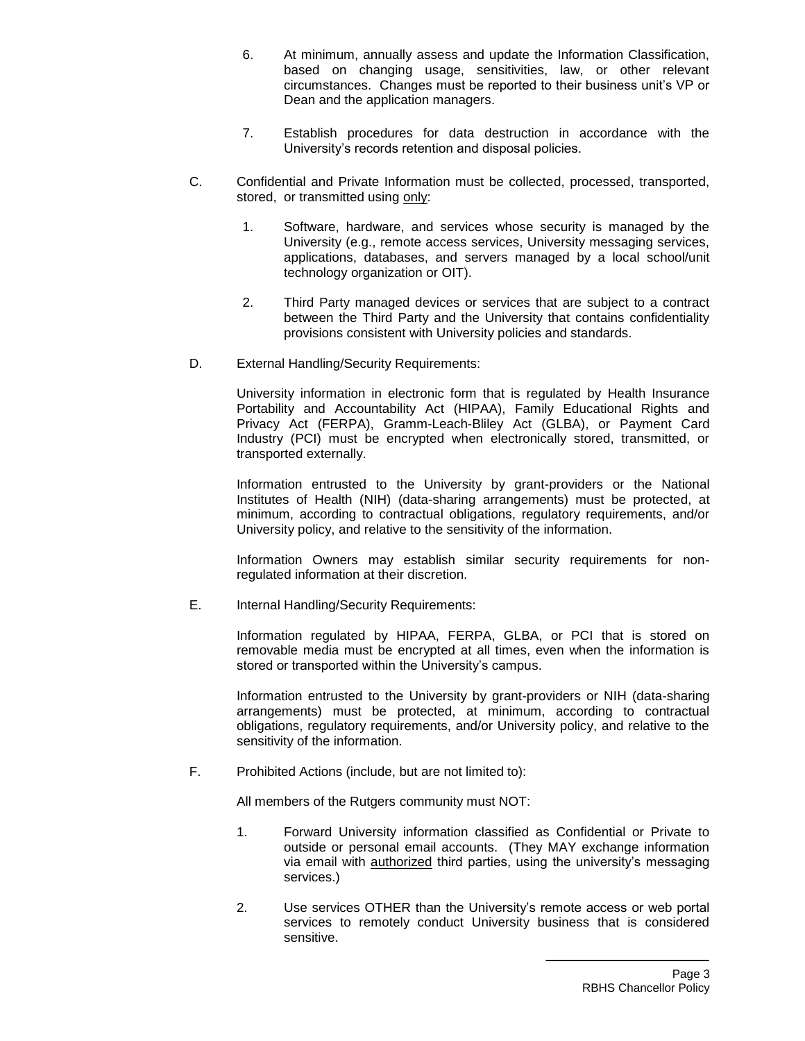- 6. At minimum, annually assess and update the Information Classification, based on changing usage, sensitivities, law, or other relevant circumstances. Changes must be reported to their business unit's VP or Dean and the application managers.
- 7. Establish procedures for data destruction in accordance with the University's records retention and disposal policies.
- C. Confidential and Private Information must be collected, processed, transported, stored, or transmitted using only:
	- 1. Software, hardware, and services whose security is managed by the University (e.g., remote access services, University messaging services, applications, databases, and servers managed by a local school/unit technology organization or OIT).
	- 2. Third Party managed devices or services that are subject to a contract between the Third Party and the University that contains confidentiality provisions consistent with University policies and standards.
- D. External Handling/Security Requirements:

University information in electronic form that is regulated by Health Insurance Portability and Accountability Act (HIPAA), Family Educational Rights and Privacy Act (FERPA), Gramm-Leach-Bliley Act (GLBA), or Payment Card Industry (PCI) must be encrypted when electronically stored, transmitted, or transported externally.

Information entrusted to the University by grant-providers or the National Institutes of Health (NIH) (data-sharing arrangements) must be protected, at minimum, according to contractual obligations, regulatory requirements, and/or University policy, and relative to the sensitivity of the information.

Information Owners may establish similar security requirements for nonregulated information at their discretion.

E. Internal Handling/Security Requirements:

Information regulated by HIPAA, FERPA, GLBA, or PCI that is stored on removable media must be encrypted at all times, even when the information is stored or transported within the University's campus.

Information entrusted to the University by grant-providers or NIH (data-sharing arrangements) must be protected, at minimum, according to contractual obligations, regulatory requirements, and/or University policy, and relative to the sensitivity of the information.

F. Prohibited Actions (include, but are not limited to):

All members of the Rutgers community must NOT:

- 1. Forward University information classified as Confidential or Private to outside or personal email accounts. (They MAY exchange information via email with authorized third parties, using the university's messaging services.)
- 2. Use services OTHER than the University's remote access or web portal services to remotely conduct University business that is considered sensitive.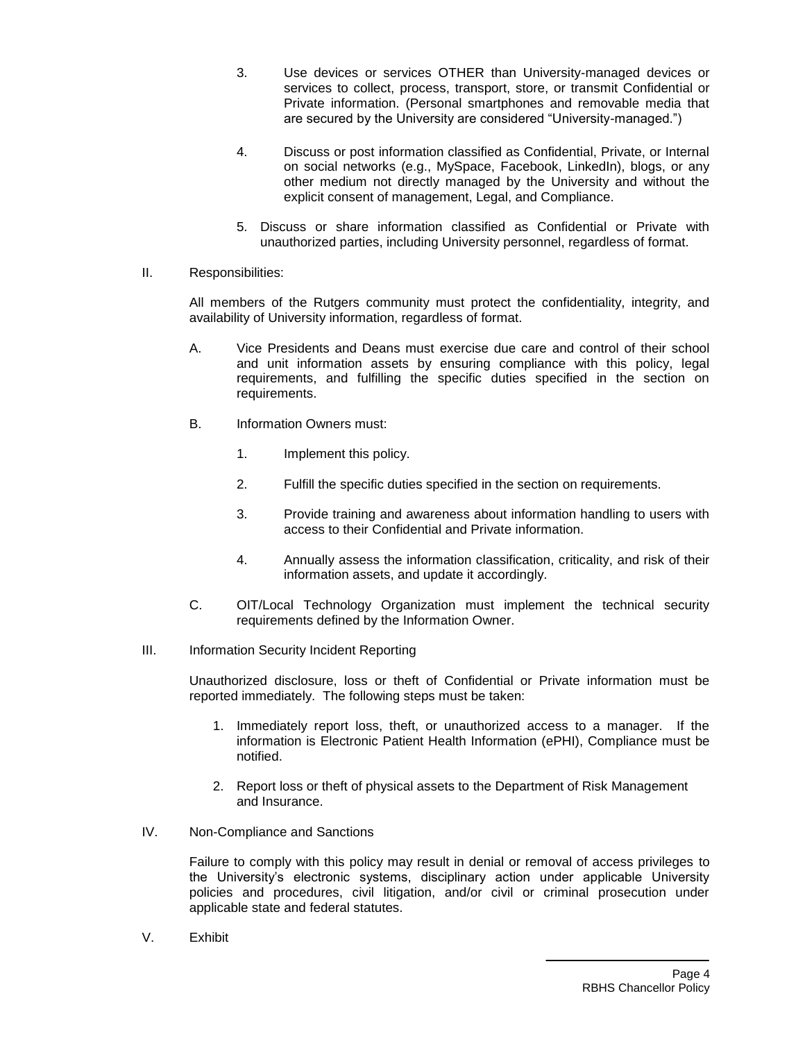- 3. Use devices or services OTHER than University-managed devices or services to collect, process, transport, store, or transmit Confidential or Private information. (Personal smartphones and removable media that are secured by the University are considered "University-managed.")
- 4. Discuss or post information classified as Confidential, Private, or Internal on social networks (e.g., MySpace, Facebook, LinkedIn), blogs, or any other medium not directly managed by the University and without the explicit consent of management, Legal, and Compliance.
- 5. Discuss or share information classified as Confidential or Private with unauthorized parties, including University personnel, regardless of format.
- II. Responsibilities:

All members of the Rutgers community must protect the confidentiality, integrity, and availability of University information, regardless of format.

- A. Vice Presidents and Deans must exercise due care and control of their school and unit information assets by ensuring compliance with this policy, legal requirements, and fulfilling the specific duties specified in the section on requirements.
- B. Information Owners must:
	- 1. Implement this policy.
	- 2. Fulfill the specific duties specified in the section on requirements.
	- 3. Provide training and awareness about information handling to users with access to their Confidential and Private information.
	- 4. Annually assess the information classification, criticality, and risk of their information assets, and update it accordingly.
- C. OIT/Local Technology Organization must implement the technical security requirements defined by the Information Owner.
- III. Information Security Incident Reporting

Unauthorized disclosure, loss or theft of Confidential or Private information must be reported immediately. The following steps must be taken:

- 1. Immediately report loss, theft, or unauthorized access to a manager. If the information is Electronic Patient Health Information (ePHI), Compliance must be notified.
- 2. Report loss or theft of physical assets to the Department of Risk Management and Insurance.
- IV. Non-Compliance and Sanctions

Failure to comply with this policy may result in denial or removal of access privileges to the University's electronic systems, disciplinary action under applicable University policies and procedures, civil litigation, and/or civil or criminal prosecution under applicable state and federal statutes.

V. Exhibit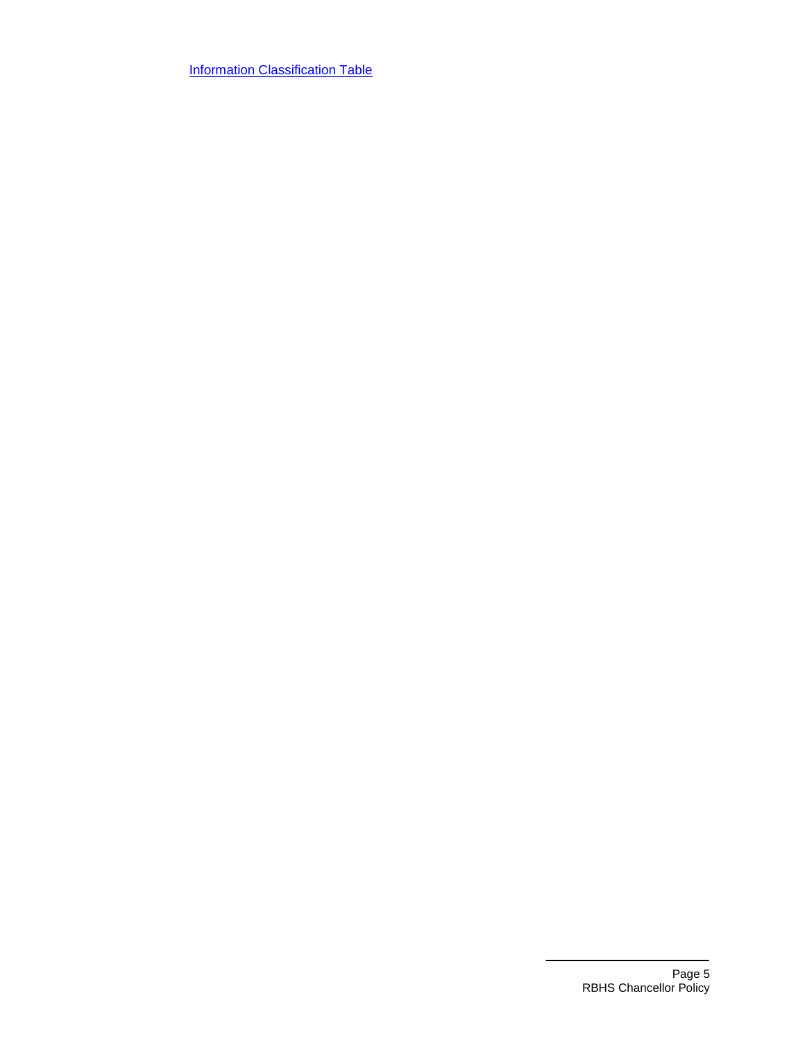**[Information Classification Table](#page-5-1)**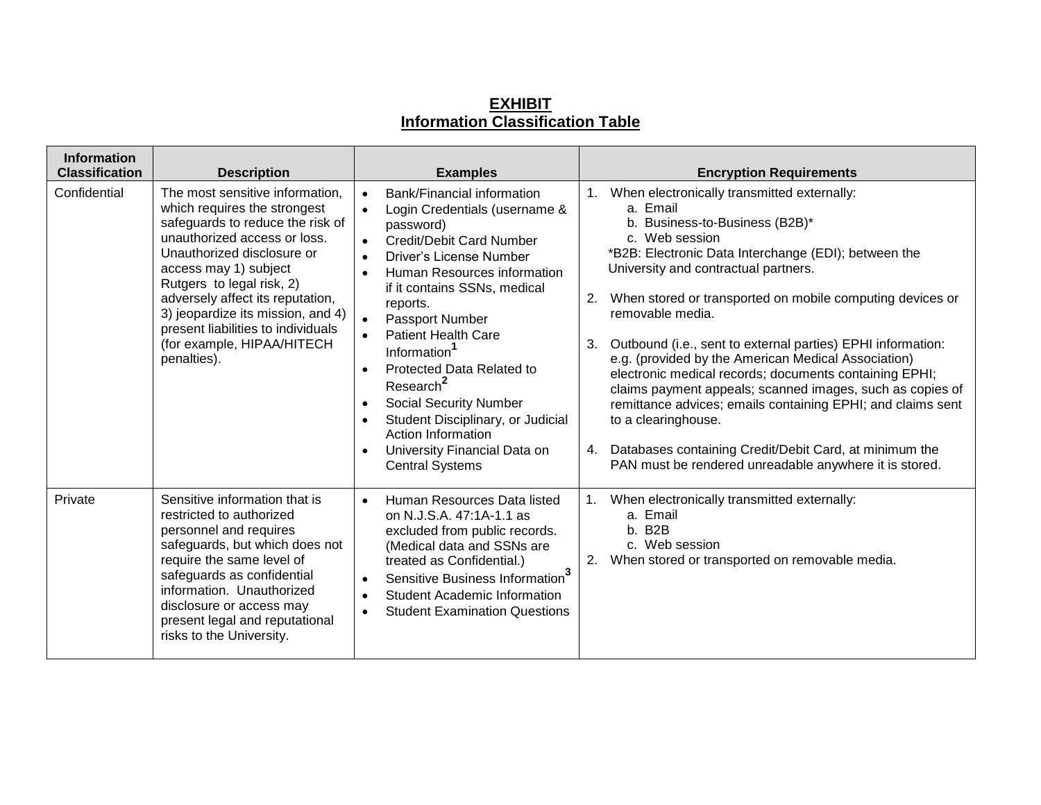# **EXHIBIT Information Classification Table**

<span id="page-5-1"></span><span id="page-5-0"></span>

| <b>Information</b><br><b>Classification</b> | <b>Description</b>                                                                                                                                                                                                                                                                                                                                                                  | <b>Examples</b>                                                                                                                                                                                                                                                                                                                                                                                                                                                                                                                                                       | <b>Encryption Requirements</b>                                                                                                                                                                                                                                                                                                                                                                                                                                                                                                                                                                                                                                                                                                                                           |
|---------------------------------------------|-------------------------------------------------------------------------------------------------------------------------------------------------------------------------------------------------------------------------------------------------------------------------------------------------------------------------------------------------------------------------------------|-----------------------------------------------------------------------------------------------------------------------------------------------------------------------------------------------------------------------------------------------------------------------------------------------------------------------------------------------------------------------------------------------------------------------------------------------------------------------------------------------------------------------------------------------------------------------|--------------------------------------------------------------------------------------------------------------------------------------------------------------------------------------------------------------------------------------------------------------------------------------------------------------------------------------------------------------------------------------------------------------------------------------------------------------------------------------------------------------------------------------------------------------------------------------------------------------------------------------------------------------------------------------------------------------------------------------------------------------------------|
| Confidential                                | The most sensitive information,<br>which requires the strongest<br>safeguards to reduce the risk of<br>unauthorized access or loss.<br>Unauthorized disclosure or<br>access may 1) subject<br>Rutgers to legal risk, 2)<br>adversely affect its reputation,<br>3) jeopardize its mission, and 4)<br>present liabilities to individuals<br>(for example, HIPAA/HITECH<br>penalties). | Bank/Financial information<br>$\bullet$<br>Login Credentials (username &<br>password)<br><b>Credit/Debit Card Number</b><br>Driver's License Number<br>Human Resources information<br>if it contains SSNs, medical<br>reports.<br>Passport Number<br><b>Patient Health Care</b><br>Information <sup>1</sup><br><b>Protected Data Related to</b><br>$\bullet$<br>Research <sup>2</sup><br><b>Social Security Number</b><br>$\bullet$<br>Student Disciplinary, or Judicial<br>$\bullet$<br>Action Information<br>University Financial Data on<br><b>Central Systems</b> | 1. When electronically transmitted externally:<br>a. Email<br>b. Business-to-Business (B2B)*<br>c. Web session<br>*B2B: Electronic Data Interchange (EDI); between the<br>University and contractual partners.<br>2.<br>When stored or transported on mobile computing devices or<br>removable media.<br>3.<br>Outbound (i.e., sent to external parties) EPHI information:<br>e.g. (provided by the American Medical Association)<br>electronic medical records; documents containing EPHI;<br>claims payment appeals; scanned images, such as copies of<br>remittance advices; emails containing EPHI; and claims sent<br>to a clearinghouse.<br>Databases containing Credit/Debit Card, at minimum the<br>4.<br>PAN must be rendered unreadable anywhere it is stored. |
| Private                                     | Sensitive information that is<br>restricted to authorized<br>personnel and requires<br>safeguards, but which does not<br>require the same level of<br>safeguards as confidential<br>information. Unauthorized<br>disclosure or access may<br>present legal and reputational<br>risks to the University.                                                                             | Human Resources Data listed<br>$\bullet$<br>on N.J.S.A. 47:1A-1.1 as<br>excluded from public records.<br>(Medical data and SSNs are<br>treated as Confidential.)<br>Sensitive Business Information <sup>3</sup><br><b>Student Academic Information</b><br><b>Student Examination Questions</b>                                                                                                                                                                                                                                                                        | 1. When electronically transmitted externally:<br>a. Email<br>b. B2B<br>c. Web session<br>2. When stored or transported on removable media.                                                                                                                                                                                                                                                                                                                                                                                                                                                                                                                                                                                                                              |